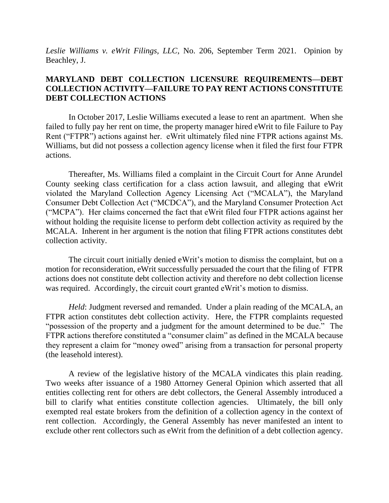*Leslie Williams v. eWrit Filings, LLC*, No. 206, September Term 2021. Opinion by Beachley, J.

# **MARYLAND DEBT COLLECTION LICENSURE REQUIREMENTS—DEBT COLLECTION ACTIVITY—FAILURE TO PAY RENT ACTIONS CONSTITUTE DEBT COLLECTION ACTIONS**

In October 2017, Leslie Williams executed a lease to rent an apartment. When she failed to fully pay her rent on time, the property manager hired eWrit to file Failure to Pay Rent ("FTPR") actions against her. eWrit ultimately filed nine FTPR actions against Ms. Williams, but did not possess a collection agency license when it filed the first four FTPR actions.

Thereafter, Ms. Williams filed a complaint in the Circuit Court for Anne Arundel County seeking class certification for a class action lawsuit, and alleging that eWrit violated the Maryland Collection Agency Licensing Act ("MCALA"), the Maryland Consumer Debt Collection Act ("MCDCA"), and the Maryland Consumer Protection Act ("MCPA"). Her claims concerned the fact that eWrit filed four FTPR actions against her without holding the requisite license to perform debt collection activity as required by the MCALA. Inherent in her argument is the notion that filing FTPR actions constitutes debt collection activity.

The circuit court initially denied eWrit's motion to dismiss the complaint, but on a motion for reconsideration, eWrit successfully persuaded the court that the filing of FTPR actions does not constitute debt collection activity and therefore no debt collection license was required. Accordingly, the circuit court granted eWrit's motion to dismiss.

*Held*: Judgment reversed and remanded. Under a plain reading of the MCALA, an FTPR action constitutes debt collection activity. Here, the FTPR complaints requested "possession of the property and a judgment for the amount determined to be due." The FTPR actions therefore constituted a "consumer claim" as defined in the MCALA because they represent a claim for "money owed" arising from a transaction for personal property (the leasehold interest).

A review of the legislative history of the MCALA vindicates this plain reading. Two weeks after issuance of a 1980 Attorney General Opinion which asserted that all entities collecting rent for others are debt collectors, the General Assembly introduced a bill to clarify what entities constitute collection agencies. Ultimately, the bill only exempted real estate brokers from the definition of a collection agency in the context of rent collection. Accordingly, the General Assembly has never manifested an intent to exclude other rent collectors such as eWrit from the definition of a debt collection agency.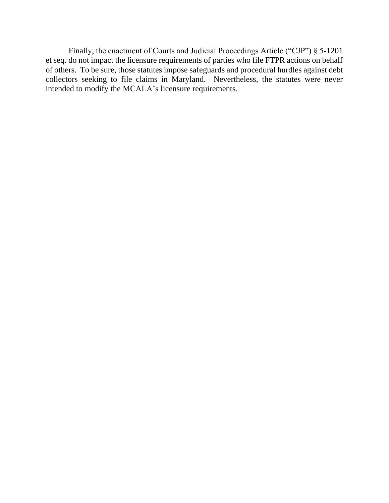Finally, the enactment of Courts and Judicial Proceedings Article ("CJP") § 5-1201 et seq. do not impact the licensure requirements of parties who file FTPR actions on behalf of others. To be sure, those statutes impose safeguards and procedural hurdles against debt collectors seeking to file claims in Maryland. Nevertheless, the statutes were never intended to modify the MCALA's licensure requirements.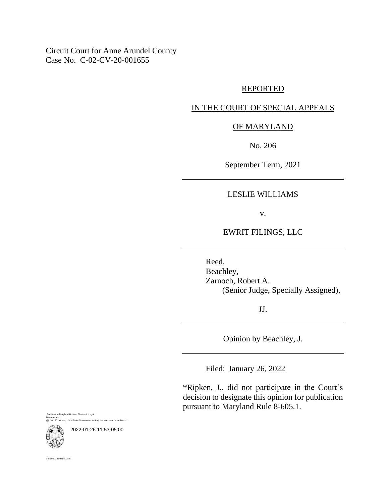Circuit Court for Anne Arundel County Case No. C-02-CV-20-001655

#### REPORTED

### IN THE COURT OF SPECIAL APPEALS

# OF MARYLAND

No. 206

September Term, 2021

#### LESLIE WILLIAMS

v.

## EWRIT FILINGS, LLC

Reed, Beachley, Zarnoch, Robert A. (Senior Judge, Specially Assigned),

JJ.

Opinion by Beachley, J.

Filed: January 26, 2022

\*Ripken, J., did not participate in the Court's decision to designate this opinion for publication pursuant to Maryland Rule 8-605.1.

Pursuant to Maryland Uniform Electronic Legal Materials Act vaterials Act<br>§§ 10-1601 et seq. of the State Government Article) this document is a



2022-01-26 11:53-05:00

nne C. Johnson, Clerk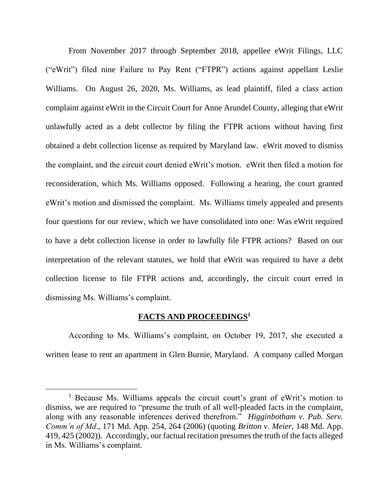From November 2017 through September 2018, appellee eWrit Filings, LLC ("eWrit") filed nine Failure to Pay Rent ("FTPR") actions against appellant Leslie Williams. On August 26, 2020, Ms. Williams, as lead plaintiff, filed a class action complaint against eWrit in the Circuit Court for Anne Arundel County, alleging that eWrit unlawfully acted as a debt collector by filing the FTPR actions without having first obtained a debt collection license as required by Maryland law. eWrit moved to dismiss the complaint, and the circuit court denied eWrit's motion. eWrit then filed a motion for reconsideration, which Ms. Williams opposed. Following a hearing, the court granted eWrit's motion and dismissed the complaint. Ms. Williams timely appealed and presents four questions for our review, which we have consolidated into one: Was eWrit required to have a debt collection license in order to lawfully file FTPR actions? Based on our interpretation of the relevant statutes, we hold that eWrit was required to have a debt collection license to file FTPR actions and, accordingly, the circuit court erred in dismissing Ms. Williams's complaint.

### **FACTS AND PROCEEDINGS<sup>1</sup>**

According to Ms. Williams's complaint, on October 19, 2017, she executed a written lease to rent an apartment in Glen Burnie, Maryland. A company called Morgan

<sup>&</sup>lt;sup>1</sup> Because Ms. Williams appeals the circuit court's grant of eWrit's motion to dismiss, we are required to "presume the truth of all well-pleaded facts in the complaint, along with any reasonable inferences derived therefrom." *Higginbotham v. Pub. Serv. Comm'n of Md*., 171 Md. App. 254, 264 (2006) (quoting *Britton v. Meier*, 148 Md. App. 419, 425 (2002)). Accordingly, our factual recitation presumes the truth of the facts alleged in Ms. Williams's complaint.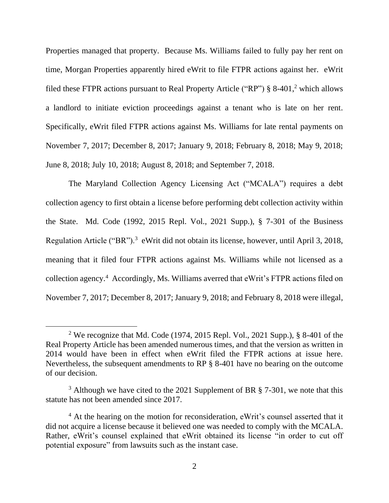Properties managed that property. Because Ms. Williams failed to fully pay her rent on time, Morgan Properties apparently hired eWrit to file FTPR actions against her. eWrit filed these FTPR actions pursuant to Real Property Article ("RP") § 8-401,<sup>2</sup> which allows a landlord to initiate eviction proceedings against a tenant who is late on her rent. Specifically, eWrit filed FTPR actions against Ms. Williams for late rental payments on November 7, 2017; December 8, 2017; January 9, 2018; February 8, 2018; May 9, 2018; June 8, 2018; July 10, 2018; August 8, 2018; and September 7, 2018.

The Maryland Collection Agency Licensing Act ("MCALA") requires a debt collection agency to first obtain a license before performing debt collection activity within the State. Md. Code (1992, 2015 Repl. Vol., 2021 Supp.), § 7-301 of the Business Regulation Article ("BR").<sup>3</sup> eWrit did not obtain its license, however, until April 3, 2018, meaning that it filed four FTPR actions against Ms. Williams while not licensed as a collection agency.<sup>4</sup> Accordingly, Ms. Williams averred that eWrit's FTPR actions filed on November 7, 2017; December 8, 2017; January 9, 2018; and February 8, 2018 were illegal,

<sup>&</sup>lt;sup>2</sup> We recognize that Md. Code (1974, 2015 Repl. Vol., 2021 Supp.), § 8-401 of the Real Property Article has been amended numerous times, and that the version as written in 2014 would have been in effect when eWrit filed the FTPR actions at issue here. Nevertheless, the subsequent amendments to RP § 8-401 have no bearing on the outcome of our decision.

<sup>&</sup>lt;sup>3</sup> Although we have cited to the 2021 Supplement of BR  $\S$  7-301, we note that this statute has not been amended since 2017.

<sup>&</sup>lt;sup>4</sup> At the hearing on the motion for reconsideration, eWrit's counsel asserted that it did not acquire a license because it believed one was needed to comply with the MCALA. Rather, eWrit's counsel explained that eWrit obtained its license "in order to cut off potential exposure" from lawsuits such as the instant case.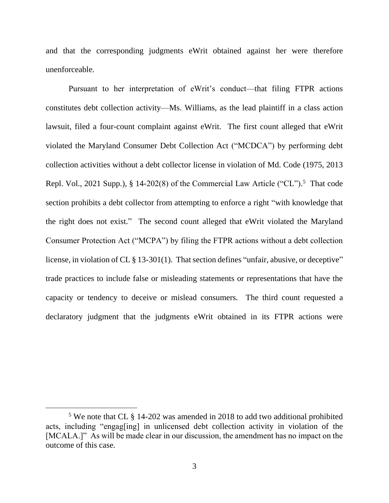and that the corresponding judgments eWrit obtained against her were therefore unenforceable.

Pursuant to her interpretation of eWrit's conduct—that filing FTPR actions constitutes debt collection activity—Ms. Williams, as the lead plaintiff in a class action lawsuit, filed a four-count complaint against eWrit. The first count alleged that eWrit violated the Maryland Consumer Debt Collection Act ("MCDCA") by performing debt collection activities without a debt collector license in violation of Md. Code (1975, 2013 Repl. Vol., 2021 Supp.), § 14-202(8) of the Commercial Law Article ("CL").<sup>5</sup> That code section prohibits a debt collector from attempting to enforce a right "with knowledge that the right does not exist." The second count alleged that eWrit violated the Maryland Consumer Protection Act ("MCPA") by filing the FTPR actions without a debt collection license, in violation of CL § 13-301(1). That section defines "unfair, abusive, or deceptive" trade practices to include false or misleading statements or representations that have the capacity or tendency to deceive or mislead consumers. The third count requested a declaratory judgment that the judgments eWrit obtained in its FTPR actions were

<sup>5</sup> We note that CL § 14-202 was amended in 2018 to add two additional prohibited acts, including "engag[ing] in unlicensed debt collection activity in violation of the [MCALA.]" As will be made clear in our discussion, the amendment has no impact on the outcome of this case.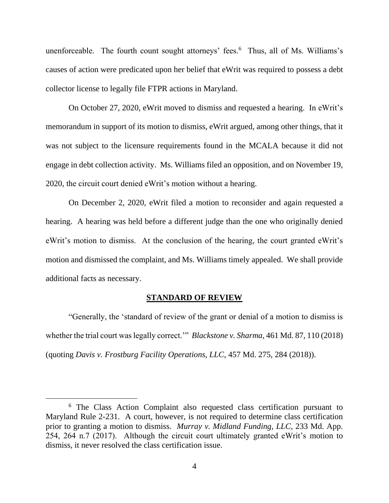unenforceable. The fourth count sought attorneys' fees.<sup>6</sup> Thus, all of Ms. Williams's causes of action were predicated upon her belief that eWrit was required to possess a debt collector license to legally file FTPR actions in Maryland.

On October 27, 2020, eWrit moved to dismiss and requested a hearing. In eWrit's memorandum in support of its motion to dismiss, eWrit argued, among other things, that it was not subject to the licensure requirements found in the MCALA because it did not engage in debt collection activity. Ms. Williams filed an opposition, and on November 19, 2020, the circuit court denied eWrit's motion without a hearing.

On December 2, 2020, eWrit filed a motion to reconsider and again requested a hearing. A hearing was held before a different judge than the one who originally denied eWrit's motion to dismiss. At the conclusion of the hearing, the court granted eWrit's motion and dismissed the complaint, and Ms. Williams timely appealed. We shall provide additional facts as necessary.

#### **STANDARD OF REVIEW**

"Generally, the 'standard of review of the grant or denial of a motion to dismiss is whether the trial court was legally correct.'" *Blackstone v. Sharma*, 461 Md. 87, 110 (2018) (quoting *Davis v. Frostburg Facility Operations, LLC*, 457 Md. 275, 284 (2018)).

<sup>&</sup>lt;sup>6</sup> The Class Action Complaint also requested class certification pursuant to Maryland Rule 2-231. A court, however, is not required to determine class certification prior to granting a motion to dismiss. *Murray v. Midland Funding, LLC*, 233 Md. App. 254, 264 n.7 (2017). Although the circuit court ultimately granted eWrit's motion to dismiss, it never resolved the class certification issue.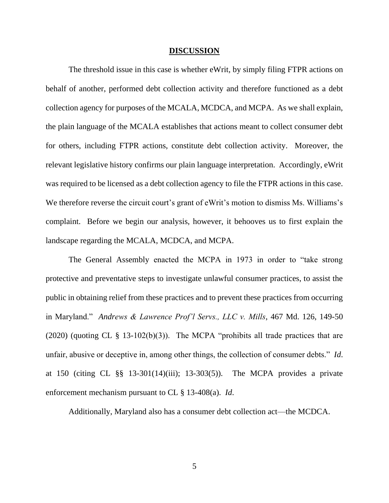#### **DISCUSSION**

The threshold issue in this case is whether eWrit, by simply filing FTPR actions on behalf of another, performed debt collection activity and therefore functioned as a debt collection agency for purposes of the MCALA, MCDCA, and MCPA. As we shall explain, the plain language of the MCALA establishes that actions meant to collect consumer debt for others, including FTPR actions, constitute debt collection activity. Moreover, the relevant legislative history confirms our plain language interpretation. Accordingly, eWrit was required to be licensed as a debt collection agency to file the FTPR actions in this case. We therefore reverse the circuit court's grant of eWrit's motion to dismiss Ms. Williams's complaint. Before we begin our analysis, however, it behooves us to first explain the landscape regarding the MCALA, MCDCA, and MCPA.

The General Assembly enacted the MCPA in 1973 in order to "take strong protective and preventative steps to investigate unlawful consumer practices, to assist the public in obtaining relief from these practices and to prevent these practices from occurring in Maryland." *Andrews & Lawrence Prof'l Servs., LLC v. Mills*, 467 Md. 126, 149-50 (2020) (quoting CL  $\S$  13-102(b)(3)). The MCPA "prohibits all trade practices that are unfair, abusive or deceptive in, among other things, the collection of consumer debts." *Id*. at 150 (citing CL §§ 13-301(14)(iii); 13-303(5)). The MCPA provides a private enforcement mechanism pursuant to CL § 13-408(a). *Id*.

Additionally, Maryland also has a consumer debt collection act—the MCDCA.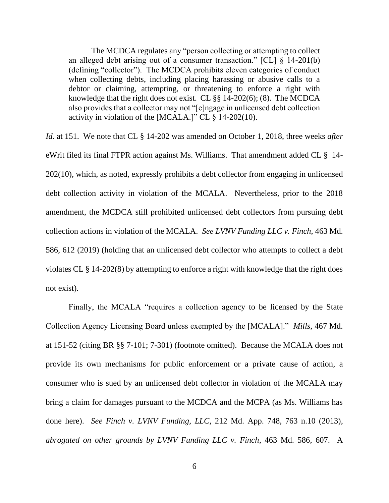The MCDCA regulates any "person collecting or attempting to collect an alleged debt arising out of a consumer transaction." [CL] § 14-201(b) (defining "collector"). The MCDCA prohibits eleven categories of conduct when collecting debts, including placing harassing or abusive calls to a debtor or claiming, attempting, or threatening to enforce a right with knowledge that the right does not exist. CL §§ 14-202(6); (8). The MCDCA also provides that a collector may not "[e]ngage in unlicensed debt collection activity in violation of the [MCALA.]" CL  $\S$  14-202(10).

*Id.* at 151. We note that CL § 14-202 was amended on October 1, 2018, three weeks *after* eWrit filed its final FTPR action against Ms. Williams. That amendment added CL § 14- 202(10), which, as noted, expressly prohibits a debt collector from engaging in unlicensed debt collection activity in violation of the MCALA. Nevertheless, prior to the 2018 amendment, the MCDCA still prohibited unlicensed debt collectors from pursuing debt collection actions in violation of the MCALA. *See LVNV Funding LLC v. Finch*, 463 Md. 586, 612 (2019) (holding that an unlicensed debt collector who attempts to collect a debt violates CL § 14-202(8) by attempting to enforce a right with knowledge that the right does not exist).

Finally, the MCALA "requires a collection agency to be licensed by the State Collection Agency Licensing Board unless exempted by the [MCALA]." *Mills*, 467 Md. at 151-52 (citing BR §§ 7-101; 7-301) (footnote omitted). Because the MCALA does not provide its own mechanisms for public enforcement or a private cause of action, a consumer who is sued by an unlicensed debt collector in violation of the MCALA may bring a claim for damages pursuant to the MCDCA and the MCPA (as Ms. Williams has done here). *See Finch v. LVNV Funding, LLC*, 212 Md. App. 748, 763 n.10 (2013), *abrogated on other grounds by LVNV Funding LLC v. Finch*, 463 Md. 586, 607. A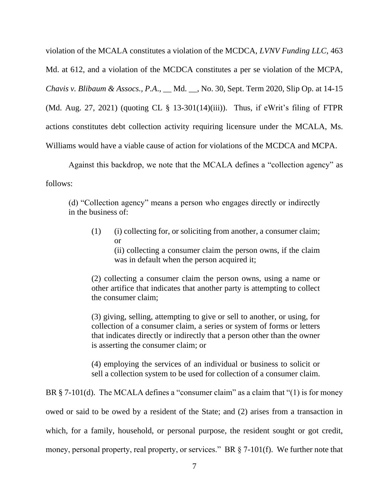violation of the MCALA constitutes a violation of the MCDCA, *LVNV Funding LLC*, 463 Md. at 612, and a violation of the MCDCA constitutes a per se violation of the MCPA, *Chavis v. Blibaum & Assocs., P.A*., \_\_ Md. \_\_, No. 30, Sept. Term 2020, Slip Op. at 14-15 (Md. Aug. 27, 2021) (quoting CL § 13-301(14)(iii)). Thus, if eWrit's filing of FTPR actions constitutes debt collection activity requiring licensure under the MCALA, Ms. Williams would have a viable cause of action for violations of the MCDCA and MCPA.

Against this backdrop, we note that the MCALA defines a "collection agency" as follows:

(d) "Collection agency" means a person who engages directly or indirectly in the business of:

(1) (i) collecting for, or soliciting from another, a consumer claim; or

(ii) collecting a consumer claim the person owns, if the claim was in default when the person acquired it;

(2) collecting a consumer claim the person owns, using a name or other artifice that indicates that another party is attempting to collect the consumer claim;

(3) giving, selling, attempting to give or sell to another, or using, for collection of a consumer claim, a series or system of forms or letters that indicates directly or indirectly that a person other than the owner is asserting the consumer claim; or

(4) employing the services of an individual or business to solicit or sell a collection system to be used for collection of a consumer claim.

BR  $\S$  7-101(d). The MCALA defines a "consumer claim" as a claim that "(1) is for money owed or said to be owed by a resident of the State; and (2) arises from a transaction in which, for a family, household, or personal purpose, the resident sought or got credit, money, personal property, real property, or services." BR § 7-101(f). We further note that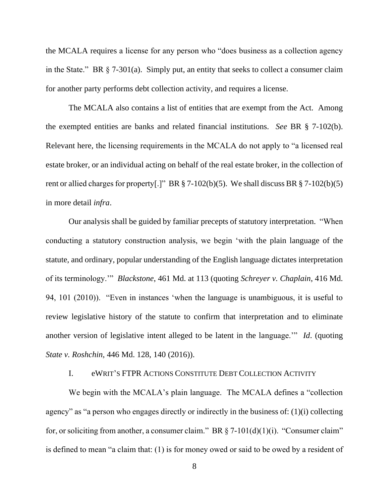the MCALA requires a license for any person who "does business as a collection agency in the State." BR § 7-301(a). Simply put, an entity that seeks to collect a consumer claim for another party performs debt collection activity, and requires a license.

The MCALA also contains a list of entities that are exempt from the Act. Among the exempted entities are banks and related financial institutions. *See* BR § 7-102(b). Relevant here, the licensing requirements in the MCALA do not apply to "a licensed real estate broker, or an individual acting on behalf of the real estate broker, in the collection of rent or allied charges for property[.]" BR  $\S$  7-102(b)(5). We shall discuss BR  $\S$  7-102(b)(5) in more detail *infra*.

Our analysis shall be guided by familiar precepts of statutory interpretation. "When conducting a statutory construction analysis, we begin 'with the plain language of the statute, and ordinary, popular understanding of the English language dictates interpretation of its terminology.'" *Blackstone*, 461 Md. at 113 (quoting *Schreyer v. Chaplain*, 416 Md. 94, 101 (2010)). "Even in instances 'when the language is unambiguous, it is useful to review legislative history of the statute to confirm that interpretation and to eliminate another version of legislative intent alleged to be latent in the language.'" *Id*. (quoting *State v. Roshchin*, 446 Md. 128, 140 (2016)).

### I. eWRIT'S FTPR ACTIONS CONSTITUTE DEBT COLLECTION ACTIVITY

We begin with the MCALA's plain language. The MCALA defines a "collection agency" as "a person who engages directly or indirectly in the business of: (1)(i) collecting for, or soliciting from another, a consumer claim." BR  $\S$  7-101(d)(1)(i). "Consumer claim" is defined to mean "a claim that: (1) is for money owed or said to be owed by a resident of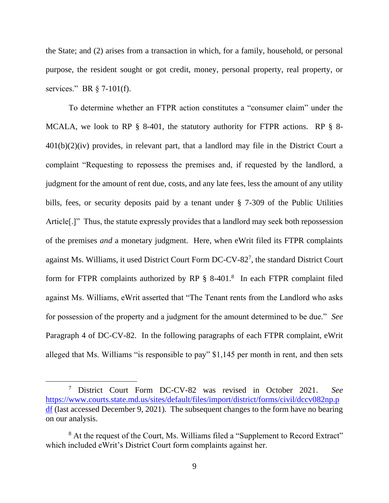the State; and (2) arises from a transaction in which, for a family, household, or personal purpose, the resident sought or got credit, money, personal property, real property, or services." BR § 7-101(f).

To determine whether an FTPR action constitutes a "consumer claim" under the MCALA, we look to RP § 8-401, the statutory authority for FTPR actions. RP § 8-  $401(b)(2)(iv)$  provides, in relevant part, that a landlord may file in the District Court a complaint "Requesting to repossess the premises and, if requested by the landlord, a judgment for the amount of rent due, costs, and any late fees, less the amount of any utility bills, fees, or security deposits paid by a tenant under § 7-309 of the Public Utilities Article<sup>[1]</sup>. Thus, the statute expressly provides that a landlord may seek both repossession of the premises *and* a monetary judgment. Here, when eWrit filed its FTPR complaints against Ms. Williams, it used District Court Form DC-CV-82<sup>7</sup> , the standard District Court form for FTPR complaints authorized by RP § 8-401.<sup>8</sup> In each FTPR complaint filed against Ms. Williams, eWrit asserted that "The Tenant rents from the Landlord who asks for possession of the property and a judgment for the amount determined to be due." *See* Paragraph 4 of DC-CV-82. In the following paragraphs of each FTPR complaint, eWrit alleged that Ms. Williams "is responsible to pay" \$1,145 per month in rent, and then sets

<sup>7</sup> District Court Form DC-CV-82 was revised in October 2021. *See* [https://www.courts.state.md.us/sites/default/files/import/district/forms/civil/dccv082np.p](https://www.courts.state.md.us/sites/default/files/import/district/forms/civil/dccv082np.pdf) [df](https://www.courts.state.md.us/sites/default/files/import/district/forms/civil/dccv082np.pdf) (last accessed December 9, 2021). The subsequent changes to the form have no bearing on our analysis.

<sup>&</sup>lt;sup>8</sup> At the request of the Court, Ms. Williams filed a "Supplement to Record Extract" which included eWrit's District Court form complaints against her.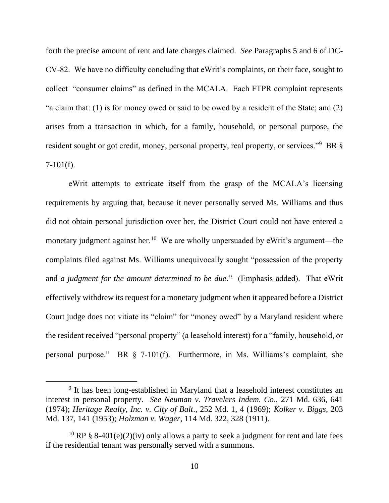forth the precise amount of rent and late charges claimed. *See* Paragraphs 5 and 6 of DC-CV-82. We have no difficulty concluding that eWrit's complaints, on their face, sought to collect "consumer claims" as defined in the MCALA. Each FTPR complaint represents "a claim that: (1) is for money owed or said to be owed by a resident of the State; and (2) arises from a transaction in which, for a family, household, or personal purpose, the resident sought or got credit, money, personal property, real property, or services."<sup>9</sup> BR §  $7-101(f)$ .

eWrit attempts to extricate itself from the grasp of the MCALA's licensing requirements by arguing that, because it never personally served Ms. Williams and thus did not obtain personal jurisdiction over her, the District Court could not have entered a monetary judgment against her.<sup>10</sup> We are wholly unpersuaded by eWrit's argument—the complaints filed against Ms. Williams unequivocally sought "possession of the property and *a judgment for the amount determined to be due*." (Emphasis added). That eWrit effectively withdrew its request for a monetary judgment when it appeared before a District Court judge does not vitiate its "claim" for "money owed" by a Maryland resident where the resident received "personal property" (a leasehold interest) for a "family, household, or personal purpose." BR § 7-101(f). Furthermore, in Ms. Williams's complaint, she

<sup>&</sup>lt;sup>9</sup> It has been long-established in Maryland that a leasehold interest constitutes an interest in personal property. *See Neuman v. Travelers Indem. Co*., 271 Md. 636, 641 (1974); *Heritage Realty, Inc. v. City of Balt*., 252 Md. 1, 4 (1969); *Kolker v. Biggs*, 203 Md. 137, 141 (1953); *Holzman v. Wager*, 114 Md. 322, 328 (1911).

<sup>&</sup>lt;sup>10</sup> RP § 8-401(e)(2)(iv) only allows a party to seek a judgment for rent and late fees if the residential tenant was personally served with a summons.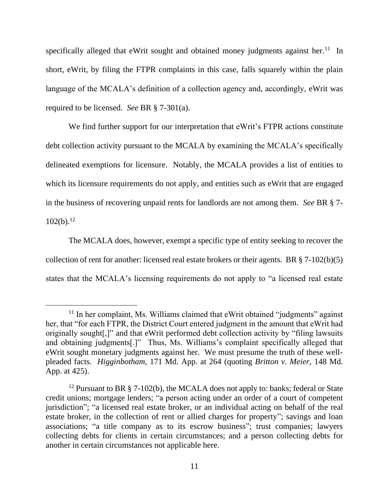specifically alleged that eWrit sought and obtained money judgments against her.<sup>11</sup> In short, eWrit, by filing the FTPR complaints in this case, falls squarely within the plain language of the MCALA's definition of a collection agency and, accordingly, eWrit was required to be licensed. *See* BR § 7-301(a).

We find further support for our interpretation that eWrit's FTPR actions constitute debt collection activity pursuant to the MCALA by examining the MCALA's specifically delineated exemptions for licensure. Notably, the MCALA provides a list of entities to which its licensure requirements do not apply, and entities such as eWrit that are engaged in the business of recovering unpaid rents for landlords are not among them. *See* BR § 7-  $102(b).^{12}$ 

The MCALA does, however, exempt a specific type of entity seeking to recover the collection of rent for another: licensed real estate brokers or their agents. BR  $\S$  7-102(b)(5) states that the MCALA's licensing requirements do not apply to "a licensed real estate

<sup>&</sup>lt;sup>11</sup> In her complaint, Ms. Williams claimed that eWrit obtained "judgments" against her, that "for each FTPR, the District Court entered judgment in the amount that eWrit had originally sought[,]" and that eWrit performed debt collection activity by "filing lawsuits and obtaining judgments[.]" Thus, Ms. Williams's complaint specifically alleged that eWrit sought monetary judgments against her. We must presume the truth of these wellpleaded facts. *Higginbotham*, 171 Md. App. at 264 (quoting *Britton v. Meier*, 148 Md. App. at 425).

<sup>&</sup>lt;sup>12</sup> Pursuant to BR § 7-102(b), the MCALA does not apply to: banks; federal or State credit unions; mortgage lenders; "a person acting under an order of a court of competent jurisdiction"; "a licensed real estate broker, or an individual acting on behalf of the real estate broker, in the collection of rent or allied charges for property"; savings and loan associations; "a title company as to its escrow business"; trust companies; lawyers collecting debts for clients in certain circumstances; and a person collecting debts for another in certain circumstances not applicable here.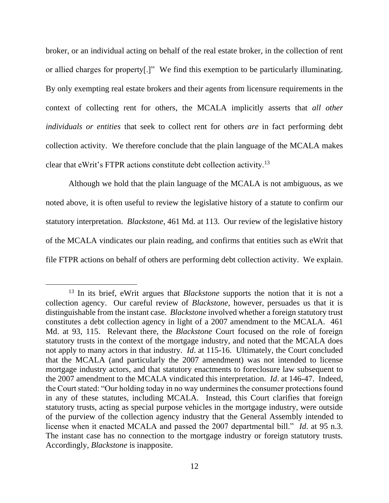broker, or an individual acting on behalf of the real estate broker, in the collection of rent or allied charges for property[.]" We find this exemption to be particularly illuminating. By only exempting real estate brokers and their agents from licensure requirements in the context of collecting rent for others, the MCALA implicitly asserts that *all other individuals or entities* that seek to collect rent for others *are* in fact performing debt collection activity. We therefore conclude that the plain language of the MCALA makes clear that eWrit's FTPR actions constitute debt collection activity.<sup>13</sup>

Although we hold that the plain language of the MCALA is not ambiguous, as we noted above, it is often useful to review the legislative history of a statute to confirm our statutory interpretation. *Blackstone*, 461 Md. at 113. Our review of the legislative history of the MCALA vindicates our plain reading, and confirms that entities such as eWrit that file FTPR actions on behalf of others are performing debt collection activity. We explain.

<sup>13</sup> In its brief, eWrit argues that *Blackstone* supports the notion that it is not a collection agency. Our careful review of *Blackstone*, however, persuades us that it is distinguishable from the instant case. *Blackstone* involved whether a foreign statutory trust constitutes a debt collection agency in light of a 2007 amendment to the MCALA. 461 Md. at 93, 115. Relevant there, the *Blackstone* Court focused on the role of foreign statutory trusts in the context of the mortgage industry, and noted that the MCALA does not apply to many actors in that industry. *Id*. at 115-16. Ultimately, the Court concluded that the MCALA (and particularly the 2007 amendment) was not intended to license mortgage industry actors, and that statutory enactments to foreclosure law subsequent to the 2007 amendment to the MCALA vindicated this interpretation. *Id*. at 146-47. Indeed, the Court stated: "Our holding today in no way undermines the consumer protections found in any of these statutes, including MCALA. Instead, this Court clarifies that foreign statutory trusts, acting as special purpose vehicles in the mortgage industry, were outside of the purview of the collection agency industry that the General Assembly intended to license when it enacted MCALA and passed the 2007 departmental bill." *Id*. at 95 n.3. The instant case has no connection to the mortgage industry or foreign statutory trusts. Accordingly, *Blackstone* is inapposite.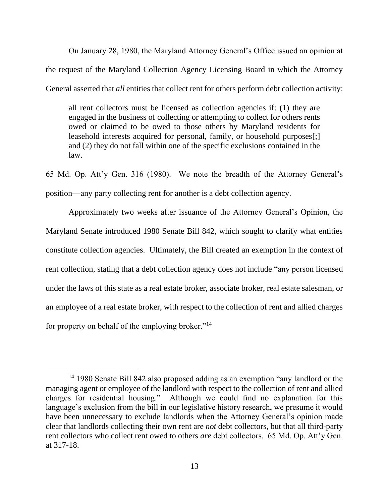On January 28, 1980, the Maryland Attorney General's Office issued an opinion at the request of the Maryland Collection Agency Licensing Board in which the Attorney General asserted that *all* entities that collect rent for others perform debt collection activity:

all rent collectors must be licensed as collection agencies if: (1) they are engaged in the business of collecting or attempting to collect for others rents owed or claimed to be owed to those others by Maryland residents for leasehold interests acquired for personal, family, or household purposes[;] and (2) they do not fall within one of the specific exclusions contained in the law.

65 Md. Op. Att'y Gen. 316 (1980). We note the breadth of the Attorney General's position—any party collecting rent for another is a debt collection agency.

Approximately two weeks after issuance of the Attorney General's Opinion, the Maryland Senate introduced 1980 Senate Bill 842, which sought to clarify what entities constitute collection agencies. Ultimately, the Bill created an exemption in the context of rent collection, stating that a debt collection agency does not include "any person licensed under the laws of this state as a real estate broker, associate broker, real estate salesman, or an employee of a real estate broker, with respect to the collection of rent and allied charges for property on behalf of the employing broker."<sup>14</sup>

<sup>14</sup> 1980 Senate Bill 842 also proposed adding as an exemption "any landlord or the managing agent or employee of the landlord with respect to the collection of rent and allied charges for residential housing." Although we could find no explanation for this language's exclusion from the bill in our legislative history research, we presume it would have been unnecessary to exclude landlords when the Attorney General's opinion made clear that landlords collecting their own rent are *not* debt collectors, but that all third-party rent collectors who collect rent owed to others *are* debt collectors. 65 Md. Op. Att'y Gen. at 317-18.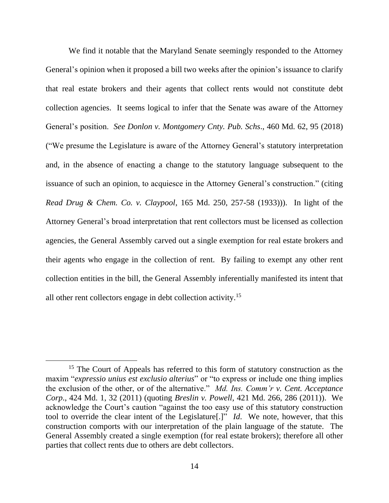We find it notable that the Maryland Senate seemingly responded to the Attorney General's opinion when it proposed a bill two weeks after the opinion's issuance to clarify that real estate brokers and their agents that collect rents would not constitute debt collection agencies. It seems logical to infer that the Senate was aware of the Attorney General's position. *See Donlon v. Montgomery Cnty. Pub. Schs*., 460 Md. 62, 95 (2018) ("We presume the Legislature is aware of the Attorney General's statutory interpretation and, in the absence of enacting a change to the statutory language subsequent to the issuance of such an opinion, to acquiesce in the Attorney General's construction." (citing *Read Drug & Chem. Co. v. Claypool*, 165 Md. 250, 257-58 (1933))). In light of the Attorney General's broad interpretation that rent collectors must be licensed as collection agencies, the General Assembly carved out a single exemption for real estate brokers and their agents who engage in the collection of rent. By failing to exempt any other rent collection entities in the bill, the General Assembly inferentially manifested its intent that all other rent collectors engage in debt collection activity.<sup>15</sup>

<sup>&</sup>lt;sup>15</sup> The Court of Appeals has referred to this form of statutory construction as the maxim "*expressio unius est exclusio alterius*" or "to express or include one thing implies the exclusion of the other, or of the alternative." *Md. Ins. Comm'r v. Cent. Acceptance Corp*., 424 Md. 1, 32 (2011) (quoting *Breslin v. Powell*, 421 Md. 266, 286 (2011)). We acknowledge the Court's caution "against the too easy use of this statutory construction tool to override the clear intent of the Legislature[.]" *Id*. We note, however, that this construction comports with our interpretation of the plain language of the statute. The General Assembly created a single exemption (for real estate brokers); therefore all other parties that collect rents due to others are debt collectors.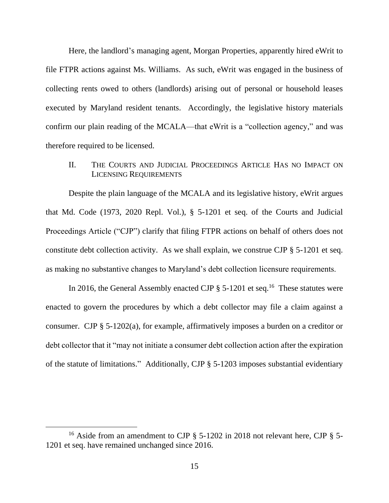Here, the landlord's managing agent, Morgan Properties, apparently hired eWrit to file FTPR actions against Ms. Williams. As such, eWrit was engaged in the business of collecting rents owed to others (landlords) arising out of personal or household leases executed by Maryland resident tenants. Accordingly, the legislative history materials confirm our plain reading of the MCALA—that eWrit is a "collection agency," and was therefore required to be licensed.

# II. THE COURTS AND JUDICIAL PROCEEDINGS ARTICLE HAS NO IMPACT ON LICENSING REQUIREMENTS

Despite the plain language of the MCALA and its legislative history, eWrit argues that Md. Code (1973, 2020 Repl. Vol.), § 5-1201 et seq. of the Courts and Judicial Proceedings Article ("CJP") clarify that filing FTPR actions on behalf of others does not constitute debt collection activity. As we shall explain, we construe CJP § 5-1201 et seq. as making no substantive changes to Maryland's debt collection licensure requirements.

In 2016, the General Assembly enacted CJP  $\S$  5-1201 et seq.<sup>16</sup> These statutes were enacted to govern the procedures by which a debt collector may file a claim against a consumer. CJP § 5-1202(a), for example, affirmatively imposes a burden on a creditor or debt collector that it "may not initiate a consumer debt collection action after the expiration of the statute of limitations." Additionally, CJP § 5-1203 imposes substantial evidentiary

<sup>&</sup>lt;sup>16</sup> Aside from an amendment to CJP  $\S$  5-1202 in 2018 not relevant here, CJP  $\S$  5-1201 et seq. have remained unchanged since 2016.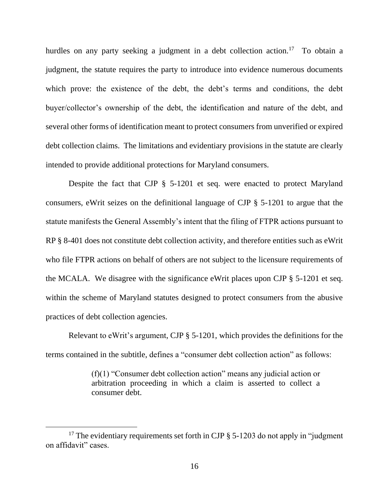hurdles on any party seeking a judgment in a debt collection action.<sup>17</sup> To obtain a judgment, the statute requires the party to introduce into evidence numerous documents which prove: the existence of the debt, the debt's terms and conditions, the debt buyer/collector's ownership of the debt, the identification and nature of the debt, and several other forms of identification meant to protect consumers from unverified or expired debt collection claims. The limitations and evidentiary provisions in the statute are clearly intended to provide additional protections for Maryland consumers.

Despite the fact that CJP § 5-1201 et seq. were enacted to protect Maryland consumers, eWrit seizes on the definitional language of CJP § 5-1201 to argue that the statute manifests the General Assembly's intent that the filing of FTPR actions pursuant to RP § 8-401 does not constitute debt collection activity, and therefore entities such as eWrit who file FTPR actions on behalf of others are not subject to the licensure requirements of the MCALA. We disagree with the significance eWrit places upon CJP § 5-1201 et seq. within the scheme of Maryland statutes designed to protect consumers from the abusive practices of debt collection agencies.

Relevant to eWrit's argument, CJP § 5-1201, which provides the definitions for the terms contained in the subtitle, defines a "consumer debt collection action" as follows:

> (f)(1) "Consumer debt collection action" means any judicial action or arbitration proceeding in which a claim is asserted to collect a consumer debt.

<sup>&</sup>lt;sup>17</sup> The evidentiary requirements set forth in CJP  $\S$  5-1203 do not apply in "judgment" on affidavit" cases.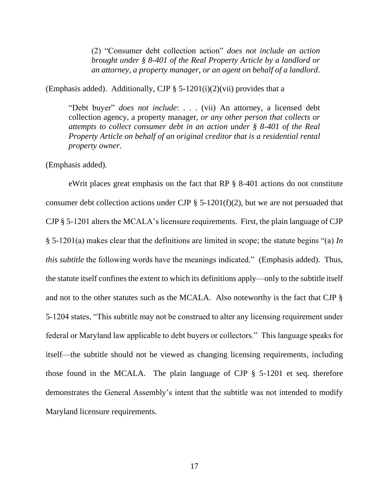(2) "Consumer debt collection action" *does not include an action brought under § 8-401 of the Real Property Article by a landlord or an attorney, a property manager, or an agent on behalf of a landlord*.

(Emphasis added). Additionally, CJP  $\S$  5-1201(i)(2)(vii) provides that a

"Debt buyer" *does not include*: . . . (vii) An attorney, a licensed debt collection agency, a property manager, *or any other person that collects or attempts to collect consumer debt in an action under § 8-401 of the Real Property Article on behalf of an original creditor that is a residential rental property owner*.

(Emphasis added).

eWrit places great emphasis on the fact that RP § 8-401 actions do not constitute consumer debt collection actions under CJP  $\S$  5-1201(f)(2), but we are not persuaded that CJP § 5-1201 alters the MCALA's licensure requirements. First, the plain language of CJP § 5-1201(a) makes clear that the definitions are limited in scope; the statute begins "(a) *In this subtitle* the following words have the meanings indicated." (Emphasis added). Thus, the statute itself confines the extent to which its definitions apply—only to the subtitle itself and not to the other statutes such as the MCALA. Also noteworthy is the fact that CJP § 5-1204 states, "This subtitle may not be construed to alter any licensing requirement under federal or Maryland law applicable to debt buyers or collectors." This language speaks for itself—the subtitle should not be viewed as changing licensing requirements, including those found in the MCALA. The plain language of CJP § 5-1201 et seq. therefore demonstrates the General Assembly's intent that the subtitle was not intended to modify Maryland licensure requirements.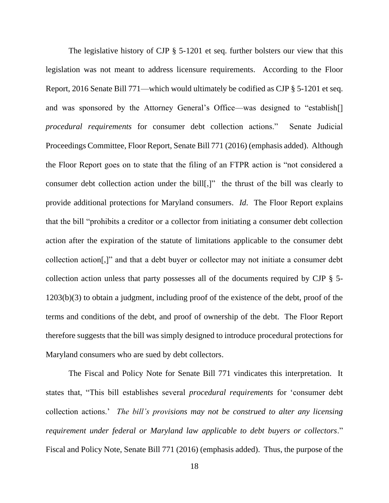The legislative history of CJP § 5-1201 et seq. further bolsters our view that this legislation was not meant to address licensure requirements. According to the Floor Report, 2016 Senate Bill 771—which would ultimately be codified as CJP § 5-1201 et seq. and was sponsored by the Attorney General's Office—was designed to "establish[] *procedural requirements* for consumer debt collection actions." Senate Judicial Proceedings Committee, Floor Report, Senate Bill 771 (2016) (emphasis added). Although the Floor Report goes on to state that the filing of an FTPR action is "not considered a consumer debt collection action under the bill[,]" the thrust of the bill was clearly to provide additional protections for Maryland consumers. *Id*. The Floor Report explains that the bill "prohibits a creditor or a collector from initiating a consumer debt collection action after the expiration of the statute of limitations applicable to the consumer debt collection action[,]" and that a debt buyer or collector may not initiate a consumer debt collection action unless that party possesses all of the documents required by CJP § 5- 1203(b)(3) to obtain a judgment, including proof of the existence of the debt, proof of the terms and conditions of the debt, and proof of ownership of the debt. The Floor Report therefore suggests that the bill was simply designed to introduce procedural protections for Maryland consumers who are sued by debt collectors.

The Fiscal and Policy Note for Senate Bill 771 vindicates this interpretation. It states that, "This bill establishes several *procedural requirements* for 'consumer debt collection actions.' *The bill's provisions may not be construed to alter any licensing requirement under federal or Maryland law applicable to debt buyers or collectors*." Fiscal and Policy Note, Senate Bill 771 (2016) (emphasis added). Thus, the purpose of the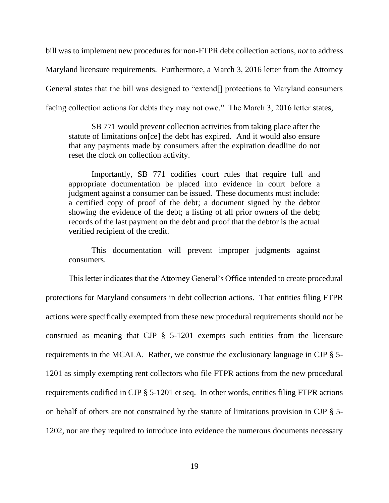bill was to implement new procedures for non-FTPR debt collection actions, *not* to address Maryland licensure requirements. Furthermore, a March 3, 2016 letter from the Attorney General states that the bill was designed to "extend[] protections to Maryland consumers facing collection actions for debts they may not owe." The March 3, 2016 letter states,

SB 771 would prevent collection activities from taking place after the statute of limitations on[ce] the debt has expired. And it would also ensure that any payments made by consumers after the expiration deadline do not reset the clock on collection activity.

Importantly, SB 771 codifies court rules that require full and appropriate documentation be placed into evidence in court before a judgment against a consumer can be issued. These documents must include: a certified copy of proof of the debt; a document signed by the debtor showing the evidence of the debt; a listing of all prior owners of the debt; records of the last payment on the debt and proof that the debtor is the actual verified recipient of the credit.

This documentation will prevent improper judgments against consumers.

This letter indicates that the Attorney General's Office intended to create procedural protections for Maryland consumers in debt collection actions. That entities filing FTPR actions were specifically exempted from these new procedural requirements should not be construed as meaning that CJP § 5-1201 exempts such entities from the licensure requirements in the MCALA. Rather, we construe the exclusionary language in CJP § 5- 1201 as simply exempting rent collectors who file FTPR actions from the new procedural requirements codified in CJP § 5-1201 et seq. In other words, entities filing FTPR actions on behalf of others are not constrained by the statute of limitations provision in CJP § 5- 1202, nor are they required to introduce into evidence the numerous documents necessary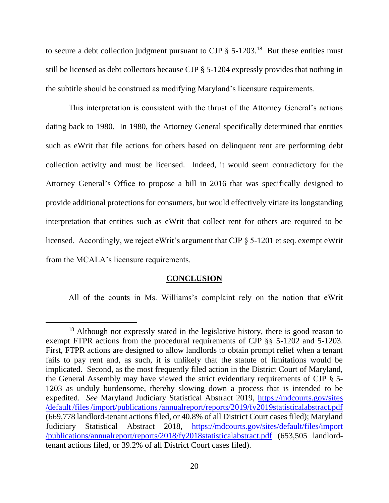to secure a debt collection judgment pursuant to CJP  $\S 5{\text -}1203$ .<sup>18</sup> But these entities must still be licensed as debt collectors because CJP § 5-1204 expressly provides that nothing in the subtitle should be construed as modifying Maryland's licensure requirements.

This interpretation is consistent with the thrust of the Attorney General's actions dating back to 1980. In 1980, the Attorney General specifically determined that entities such as eWrit that file actions for others based on delinquent rent are performing debt collection activity and must be licensed. Indeed, it would seem contradictory for the Attorney General's Office to propose a bill in 2016 that was specifically designed to provide additional protections for consumers, but would effectively vitiate its longstanding interpretation that entities such as eWrit that collect rent for others are required to be licensed. Accordingly, we reject eWrit's argument that CJP § 5-1201 et seq. exempt eWrit from the MCALA's licensure requirements.

#### **CONCLUSION**

All of the counts in Ms. Williams's complaint rely on the notion that eWrit

<sup>&</sup>lt;sup>18</sup> Although not expressly stated in the legislative history, there is good reason to exempt FTPR actions from the procedural requirements of CJP §§ 5-1202 and 5-1203. First, FTPR actions are designed to allow landlords to obtain prompt relief when a tenant fails to pay rent and, as such, it is unlikely that the statute of limitations would be implicated. Second, as the most frequently filed action in the District Court of Maryland, the General Assembly may have viewed the strict evidentiary requirements of CJP § 5- 1203 as unduly burdensome, thereby slowing down a process that is intended to be expedited. *See* Maryland Judiciary Statistical Abstract 2019, https://mdcourts.gov/sites [/default /files /import/publications /annualreport/reports/2019/fy2019statisticalabstract.pdf](https://mdcourts.gov/sites%20/default%20/files%20/import/publications%20/annualreport/reports/2019/fy2019statisticalabstract.pdf) (669,778 landlord-tenant actions filed, or 40.8% of all District Court cases filed); Maryland Judiciary Statistical Abstract 2018, [https://mdcourts.gov/sites/default/files/import](https://mdcourts.gov/sites/default/files/import%20/publications/annualreport/reports/2018/fy2018statisticalabstract.pdf)  [/publications/annualreport/reports/2018/fy2018statisticalabstract.pdf](https://mdcourts.gov/sites/default/files/import%20/publications/annualreport/reports/2018/fy2018statisticalabstract.pdf) (653,505 landlordtenant actions filed, or 39.2% of all District Court cases filed).